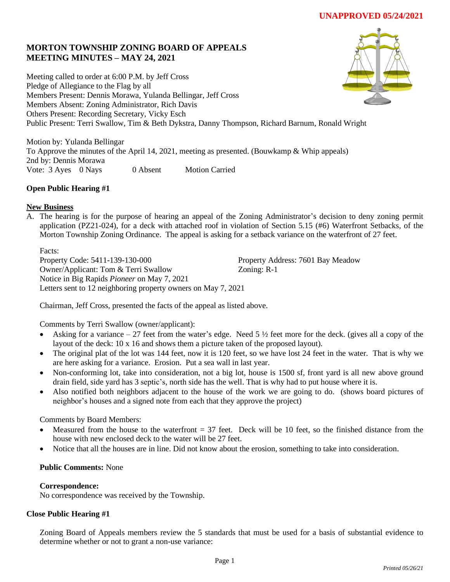# **MORTON TOWNSHIP ZONING BOARD OF APPEALS MEETING MINUTES – MAY 24, 2021**

Meeting called to order at 6:00 P.M. by Jeff Cross Pledge of Allegiance to the Flag by all Members Present: Dennis Morawa, Yulanda Bellingar, Jeff Cross Members Absent: Zoning Administrator, Rich Davis Others Present: Recording Secretary, Vicky Esch Public Present: Terri Swallow, Tim & Beth Dykstra, Danny Thompson, Richard Barnum, Ronald Wright

Motion by: Yulanda Bellingar To Approve the minutes of the April 14, 2021, meeting as presented. (Bouwkamp & Whip appeals) 2nd by: Dennis Morawa Vote: 3 Ayes 0 Nays 0 Absent Motion Carried

# **Open Public Hearing #1**

# **New Business**

A. The hearing is for the purpose of hearing an appeal of the Zoning Administrator's decision to deny zoning permit application (PZ21-024), for a deck with attached roof in violation of Section 5.15 (#6) Waterfront Setbacks, of the Morton Township Zoning Ordinance. The appeal is asking for a setback variance on the waterfront of 27 feet.

Facts: Property Code: 5411-139-130-000 Property Address: 7601 Bay Meadow Owner/Applicant: Tom & Terri Swallow Zoning: R-1 Notice in Big Rapids *Pioneer* on May 7, 2021 Letters sent to 12 neighboring property owners on May 7, 2021

Chairman, Jeff Cross, presented the facts of the appeal as listed above.

Comments by Terri Swallow (owner/applicant):

- Asking for a variance  $-27$  feet from the water's edge. Need  $5\frac{1}{2}$  feet more for the deck. (gives all a copy of the layout of the deck: 10 x 16 and shows them a picture taken of the proposed layout).
- The original plat of the lot was 144 feet, now it is 120 feet, so we have lost 24 feet in the water. That is why we are here asking for a variance. Erosion. Put a sea wall in last year.
- Non-conforming lot, take into consideration, not a big lot, house is 1500 sf, front yard is all new above ground drain field, side yard has 3 septic's, north side has the well. That is why had to put house where it is.
- Also notified both neighbors adjacent to the house of the work we are going to do. (shows board pictures of neighbor's houses and a signed note from each that they approve the project)

Comments by Board Members:

- Measured from the house to the waterfront  $= 37$  feet. Deck will be 10 feet, so the finished distance from the house with new enclosed deck to the water will be 27 feet.
- Notice that all the houses are in line. Did not know about the erosion, something to take into consideration.

# **Public Comments:** None

# **Correspondence:**

No correspondence was received by the Township.

# **Close Public Hearing #1**

Zoning Board of Appeals members review the 5 standards that must be used for a basis of substantial evidence to determine whether or not to grant a non-use variance: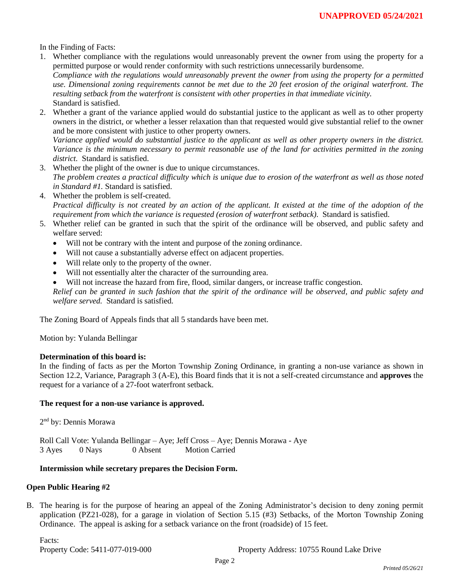In the Finding of Facts:

1. Whether compliance with the regulations would unreasonably prevent the owner from using the property for a permitted purpose or would render conformity with such restrictions unnecessarily burdensome. *Compliance with the regulations would unreasonably prevent the owner from using the property for a permitted* 

*use. Dimensional zoning requirements cannot be met due to the 20 feet erosion of the original waterfront. The resulting setback from the waterfront is consistent with other properties in that immediate vicinity.* Standard is satisfied.

2. Whether a grant of the variance applied would do substantial justice to the applicant as well as to other property owners in the district, or whether a lesser relaxation than that requested would give substantial relief to the owner and be more consistent with justice to other property owners.

*Variance applied would do substantial justice to the applicant as well as other property owners in the district. Variance is the minimum necessary to permit reasonable use of the land for activities permitted in the zoning district.* Standard is satisfied.

- 3. Whether the plight of the owner is due to unique circumstances. *The problem creates a practical difficulty which is unique due to erosion of the waterfront as well as those noted in Standard #1.* Standard is satisfied.
- 4. Whether the problem is self-created. *Practical difficulty is not created by an action of the applicant. It existed at the time of the adoption of the requirement from which the variance is requested (erosion of waterfront setback).* Standard is satisfied.
- 5. Whether relief can be granted in such that the spirit of the ordinance will be observed, and public safety and welfare served:
	- Will not be contrary with the intent and purpose of the zoning ordinance.
	- Will not cause a substantially adverse effect on adjacent properties.
	- Will relate only to the property of the owner.
	- Will not essentially alter the character of the surrounding area.
	- Will not increase the hazard from fire, flood, similar dangers, or increase traffic congestion.

*Relief can be granted in such fashion that the spirit of the ordinance will be observed, and public safety and welfare served.* Standard is satisfied.

The Zoning Board of Appeals finds that all 5 standards have been met.

Motion by: Yulanda Bellingar

#### **Determination of this board is:**

In the finding of facts as per the Morton Township Zoning Ordinance, in granting a non-use variance as shown in Section 12.2, Variance, Paragraph 3 (A-E), this Board finds that it is not a self-created circumstance and **approves** the request for a variance of a 27-foot waterfront setback.

#### **The request for a non-use variance is approved.**

2<sup>nd</sup> by: Dennis Morawa

Roll Call Vote: Yulanda Bellingar – Aye; Jeff Cross – Aye; Dennis Morawa - Aye 3 Ayes 0 Nays 0 Absent Motion Carried

#### **Intermission while secretary prepares the Decision Form.**

#### **Open Public Hearing #2**

B. The hearing is for the purpose of hearing an appeal of the Zoning Administrator's decision to deny zoning permit application (PZ21-028), for a garage in violation of Section 5.15 (#3) Setbacks, of the Morton Township Zoning Ordinance. The appeal is asking for a setback variance on the front (roadside) of 15 feet.

Facts:

Property Code: 5411-077-019-000 Property Address: 10755 Round Lake Drive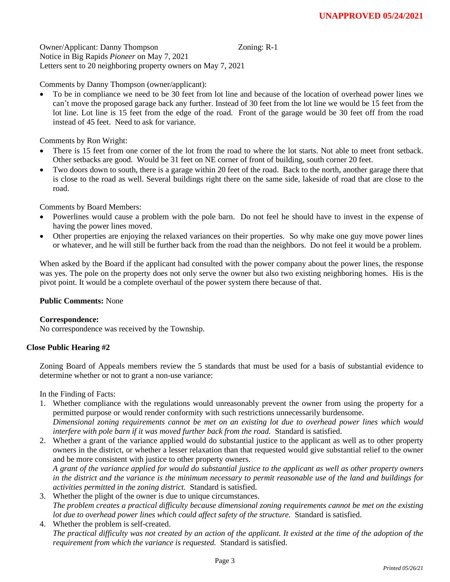Owner/Applicant: Danny Thompson Zoning: R-1 Notice in Big Rapids *Pioneer* on May 7, 2021 Letters sent to 20 neighboring property owners on May 7, 2021

Comments by Danny Thompson (owner/applicant):

• To be in compliance we need to be 30 feet from lot line and because of the location of overhead power lines we can't move the proposed garage back any further. Instead of 30 feet from the lot line we would be 15 feet from the lot line. Lot line is 15 feet from the edge of the road. Front of the garage would be 30 feet off from the road instead of 45 feet. Need to ask for variance.

Comments by Ron Wright:

- There is 15 feet from one corner of the lot from the road to where the lot starts. Not able to meet front setback. Other setbacks are good. Would be 31 feet on NE corner of front of building, south corner 20 feet.
- Two doors down to south, there is a garage within 20 feet of the road. Back to the north, another garage there that is close to the road as well. Several buildings right there on the same side, lakeside of road that are close to the road.

Comments by Board Members:

- Powerlines would cause a problem with the pole barn. Do not feel he should have to invest in the expense of having the power lines moved.
- Other properties are enjoying the relaxed variances on their properties. So why make one guy move power lines or whatever, and he will still be further back from the road than the neighbors. Do not feel it would be a problem.

When asked by the Board if the applicant had consulted with the power company about the power lines, the response was yes. The pole on the property does not only serve the owner but also two existing neighboring homes. His is the pivot point. It would be a complete overhaul of the power system there because of that.

# **Public Comments:** None

# **Correspondence:**

No correspondence was received by the Township.

# **Close Public Hearing #2**

Zoning Board of Appeals members review the 5 standards that must be used for a basis of substantial evidence to determine whether or not to grant a non-use variance:

In the Finding of Facts:

- 1. Whether compliance with the regulations would unreasonably prevent the owner from using the property for a permitted purpose or would render conformity with such restrictions unnecessarily burdensome. *Dimensional zoning requirements cannot be met on an existing lot due to overhead power lines which would interfere with pole barn if it was moved further back from the road.* Standard is satisfied.
- 2. Whether a grant of the variance applied would do substantial justice to the applicant as well as to other property owners in the district, or whether a lesser relaxation than that requested would give substantial relief to the owner and be more consistent with justice to other property owners.

*A grant of the variance applied for would do substantial justice to the applicant as well as other property owners in the district and the variance is the minimum necessary to permit reasonable use of the land and buildings for activities permitted in the zoning district.* Standard is satisfied.

- 3. Whether the plight of the owner is due to unique circumstances. *The problem creates a practical difficulty because dimensional zoning requirements cannot be met on the existing lot due to overhead power lines which could affect safety of the structure.* Standard is satisfied.
- 4. Whether the problem is self-created. *The practical difficulty was not created by an action of the applicant. It existed at the time of the adoption of the requirement from which the variance is requested.* Standard is satisfied.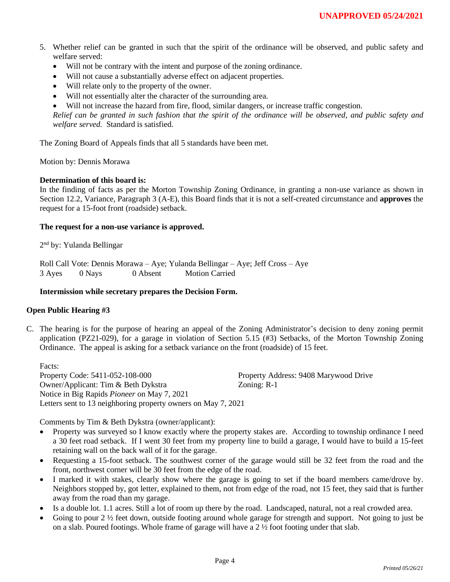- 5. Whether relief can be granted in such that the spirit of the ordinance will be observed, and public safety and welfare served:
	- Will not be contrary with the intent and purpose of the zoning ordinance.
	- Will not cause a substantially adverse effect on adjacent properties.
	- Will relate only to the property of the owner.
	- Will not essentially alter the character of the surrounding area.
	- Will not increase the hazard from fire, flood, similar dangers, or increase traffic congestion.

*Relief can be granted in such fashion that the spirit of the ordinance will be observed, and public safety and welfare served.* Standard is satisfied.

The Zoning Board of Appeals finds that all 5 standards have been met.

Motion by: Dennis Morawa

# **Determination of this board is:**

In the finding of facts as per the Morton Township Zoning Ordinance, in granting a non-use variance as shown in Section 12.2, Variance, Paragraph 3 (A-E), this Board finds that it is not a self-created circumstance and **approves** the request for a 15-foot front (roadside) setback.

#### **The request for a non-use variance is approved.**

2<sup>nd</sup> by: Yulanda Bellingar

Roll Call Vote: Dennis Morawa – Aye; Yulanda Bellingar – Aye; Jeff Cross – Aye 3 Ayes 0 Nays 0 Absent Motion Carried

### **Intermission while secretary prepares the Decision Form.**

#### **Open Public Hearing #3**

C. The hearing is for the purpose of hearing an appeal of the Zoning Administrator's decision to deny zoning permit application (PZ21-029), for a garage in violation of Section 5.15 (#3) Setbacks, of the Morton Township Zoning Ordinance. The appeal is asking for a setback variance on the front (roadside) of 15 feet.

Facts: Property Code: 5411-052-108-000 Property Address: 9408 Marywood Drive Owner/Applicant: Tim & Beth Dykstra Zoning: R-1 Notice in Big Rapids *Pioneer* on May 7, 2021 Letters sent to 13 neighboring property owners on May 7, 2021

Comments by Tim & Beth Dykstra (owner/applicant):

- Property was surveyed so I know exactly where the property stakes are. According to township ordinance I need a 30 feet road setback. If I went 30 feet from my property line to build a garage, I would have to build a 15-feet retaining wall on the back wall of it for the garage.
- Requesting a 15-foot setback. The southwest corner of the garage would still be 32 feet from the road and the front, northwest corner will be 30 feet from the edge of the road.
- I marked it with stakes, clearly show where the garage is going to set if the board members came/drove by. Neighbors stopped by, got letter, explained to them, not from edge of the road, not 15 feet, they said that is further away from the road than my garage.
- Is a double lot. 1.1 acres. Still a lot of room up there by the road. Landscaped, natural, not a real crowded area.
- Going to pour 2  $\frac{1}{2}$  feet down, outside footing around whole garage for strength and support. Not going to just be on a slab. Poured footings. Whole frame of garage will have a  $2\frac{1}{2}$  foot footing under that slab.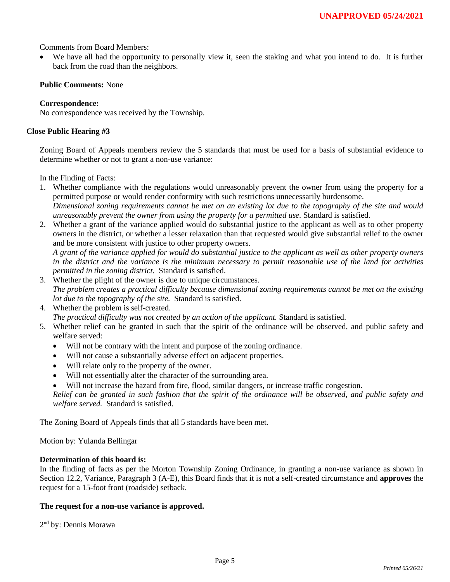Comments from Board Members:

We have all had the opportunity to personally view it, seen the staking and what you intend to do. It is further back from the road than the neighbors.

# **Public Comments:** None

# **Correspondence:**

No correspondence was received by the Township.

### **Close Public Hearing #3**

Zoning Board of Appeals members review the 5 standards that must be used for a basis of substantial evidence to determine whether or not to grant a non-use variance:

In the Finding of Facts:

- 1. Whether compliance with the regulations would unreasonably prevent the owner from using the property for a permitted purpose or would render conformity with such restrictions unnecessarily burdensome. *Dimensional zoning requirements cannot be met on an existing lot due to the topography of the site and would unreasonably prevent the owner from using the property for a permitted use.* Standard is satisfied.
- 2. Whether a grant of the variance applied would do substantial justice to the applicant as well as to other property owners in the district, or whether a lesser relaxation than that requested would give substantial relief to the owner and be more consistent with justice to other property owners.

*A grant of the variance applied for would do substantial justice to the applicant as well as other property owners in the district and the variance is the minimum necessary to permit reasonable use of the land for activities permitted in the zoning district.* Standard is satisfied.

- 3. Whether the plight of the owner is due to unique circumstances. *The problem creates a practical difficulty because dimensional zoning requirements cannot be met on the existing lot due to the topography of the site.* Standard is satisfied.
- 4. Whether the problem is self-created. *The practical difficulty was not created by an action of the applicant.* Standard is satisfied.
- 5. Whether relief can be granted in such that the spirit of the ordinance will be observed, and public safety and welfare served:
	- Will not be contrary with the intent and purpose of the zoning ordinance.
	- Will not cause a substantially adverse effect on adjacent properties.
	- Will relate only to the property of the owner.
	- Will not essentially alter the character of the surrounding area.
	- Will not increase the hazard from fire, flood, similar dangers, or increase traffic congestion.

*Relief can be granted in such fashion that the spirit of the ordinance will be observed, and public safety and welfare served.* Standard is satisfied.

The Zoning Board of Appeals finds that all 5 standards have been met.

Motion by: Yulanda Bellingar

#### **Determination of this board is:**

In the finding of facts as per the Morton Township Zoning Ordinance, in granting a non-use variance as shown in Section 12.2, Variance, Paragraph 3 (A-E), this Board finds that it is not a self-created circumstance and **approves** the request for a 15-foot front (roadside) setback.

#### **The request for a non-use variance is approved.**

2<sup>nd</sup> by: Dennis Morawa